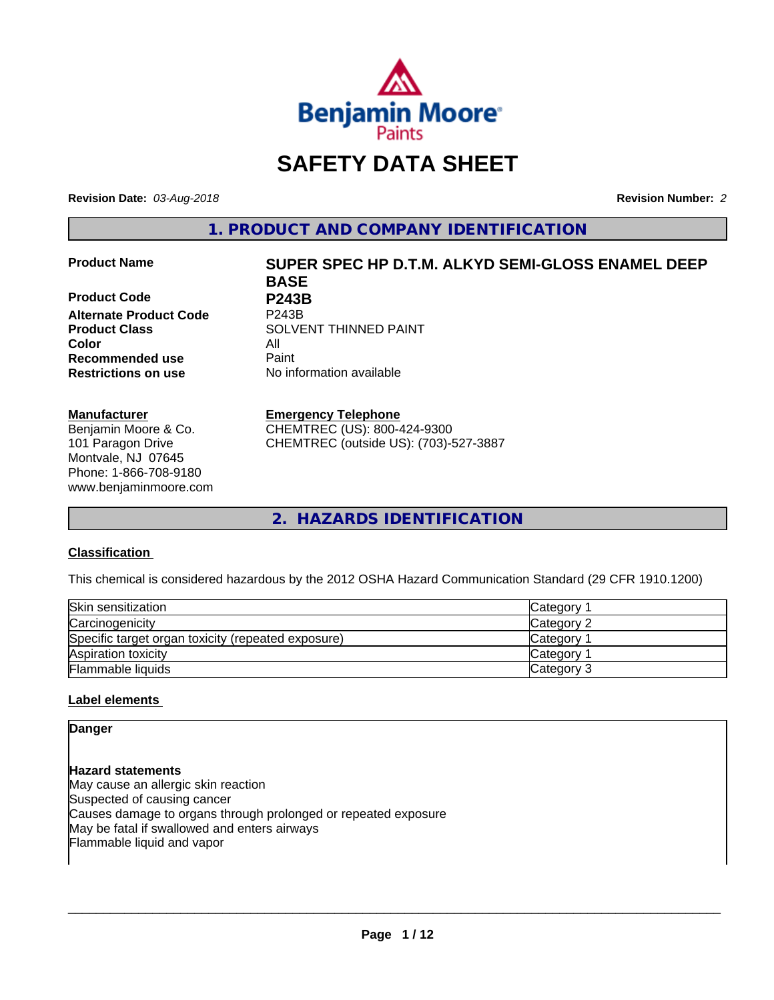

# **SAFETY DATA SHEET**

**Revision Date:** *03-Aug-2018* **Revision Number:** *2*

**1. PRODUCT AND COMPANY IDENTIFICATION**

**Product Code P243B Alternate Product Code Color** All **Recommended use** Paint **Restrictions on use** No information available

# **Manufacturer**

Benjamin Moore & Co. 101 Paragon Drive Montvale, NJ 07645 Phone: 1-866-708-9180 www.benjaminmoore.com

# **Product Name SUPER SPEC HP D.T.M. ALKYD SEMI-GLOSS ENAMEL DEEP BASE**

**Product Class SOLVENT THINNED PAINT** 

# **Emergency Telephone**

CHEMTREC (US): 800-424-9300 CHEMTREC (outside US): (703)-527-3887

**2. HAZARDS IDENTIFICATION**

# **Classification**

This chemical is considered hazardous by the 2012 OSHA Hazard Communication Standard (29 CFR 1910.1200)

| Skin sensitization                                 | Category   |
|----------------------------------------------------|------------|
| Carcinogenicity                                    | Category 2 |
| Specific target organ toxicity (repeated exposure) | Category   |
| Aspiration toxicity                                | Category   |
| <b>Flammable liquids</b>                           | Category 3 |

# **Label elements**

# **Danger**

**Hazard statements** May cause an allergic skin reaction Suspected of causing cancer Causes damage to organs through prolonged or repeated exposure May be fatal if swallowed and enters airways Flammable liquid and vapor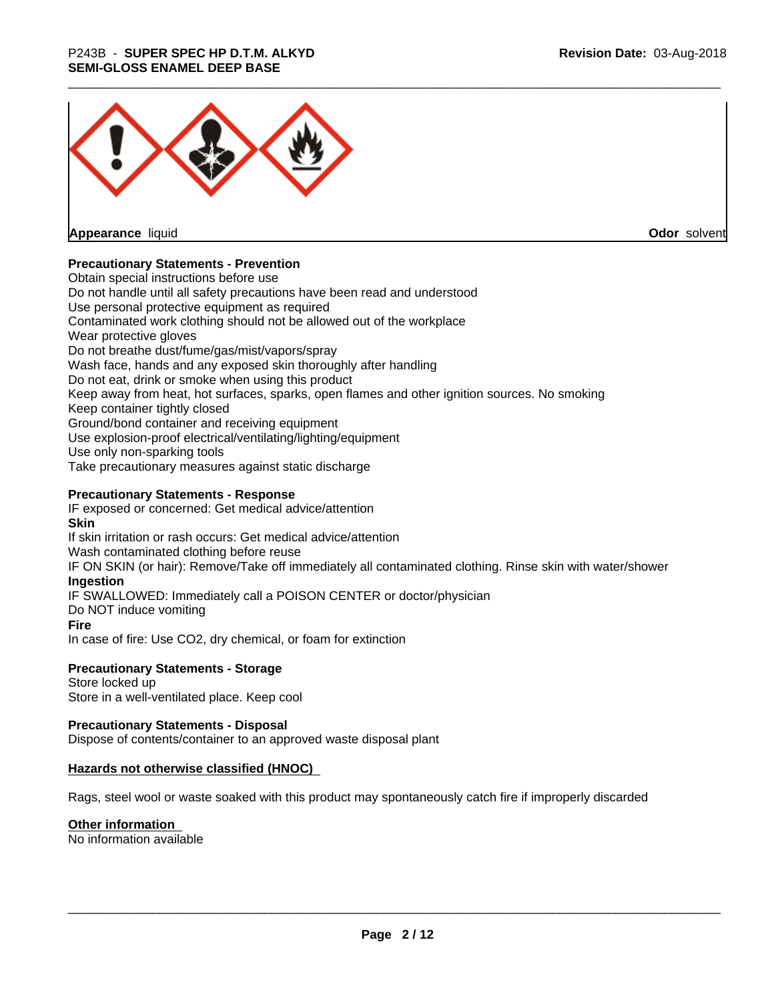

**Appearance** liquid

**Odor** solvent

# **Precautionary Statements - Prevention**

Obtain special instructions before use Do not handle until all safety precautions have been read and understood Use personal protective equipment as required Contaminated work clothing should not be allowed out of the workplace Wear protective gloves Do not breathe dust/fume/gas/mist/vapors/spray Wash face, hands and any exposed skin thoroughly after handling Do not eat, drink or smoke when using this product Keep away from heat, hot surfaces, sparks, open flames and other ignition sources. No smoking Keep container tightly closed Ground/bond container and receiving equipment Use explosion-proof electrical/ventilating/lighting/equipment Use only non-sparking tools Take precautionary measures against static discharge

# **Precautionary Statements - Response**

IF exposed or concerned: Get medical advice/attention **Skin** If skin irritation or rash occurs: Get medical advice/attention Wash contaminated clothing before reuse IF ON SKIN (or hair): Remove/Take off immediately all contaminated clothing. Rinse skin with water/shower **Ingestion** IF SWALLOWED: Immediately call a POISON CENTER or doctor/physician Do NOT induce vomiting **Fire** In case of fire: Use CO2, dry chemical, or foam for extinction

# **Precautionary Statements - Storage**

Store locked up Store in a well-ventilated place. Keep cool

# **Precautionary Statements - Disposal**

Dispose of contents/container to an approved waste disposal plant

# **Hazards not otherwise classified (HNOC)**

Rags, steel wool or waste soaked with this product may spontaneously catch fire if improperly discarded

# **Other information**

No information available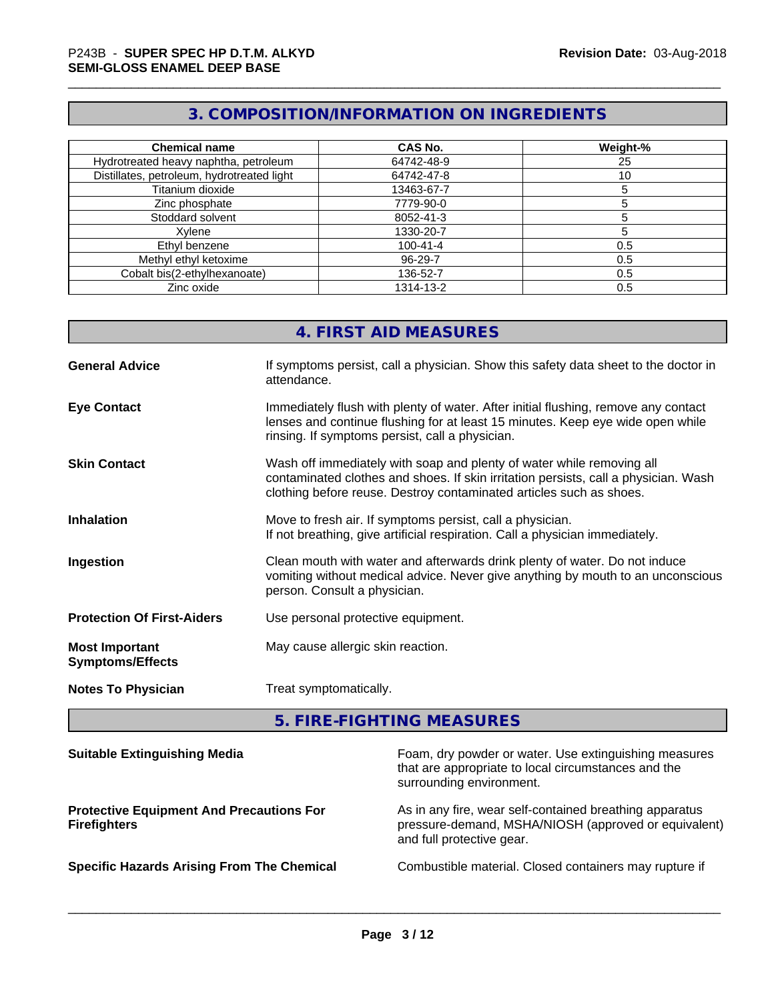# **3. COMPOSITION/INFORMATION ON INGREDIENTS**

| <b>Chemical name</b>                       | <b>CAS No.</b> | Weight-% |
|--------------------------------------------|----------------|----------|
| Hydrotreated heavy naphtha, petroleum      | 64742-48-9     | 25       |
| Distillates, petroleum, hydrotreated light | 64742-47-8     | 10       |
| Titanium dioxide                           | 13463-67-7     |          |
| Zinc phosphate                             | 7779-90-0      |          |
| Stoddard solvent                           | 8052-41-3      |          |
| Xvlene                                     | 1330-20-7      |          |
| Ethyl benzene                              | $100 - 41 - 4$ | 0.5      |
| Methyl ethyl ketoxime                      | 96-29-7        | 0.5      |
| Cobalt bis(2-ethylhexanoate)               | 136-52-7       | 0.5      |
| Zinc oxide                                 | 1314-13-2      | 0.5      |

# **4. FIRST AID MEASURES**

| <b>General Advice</b>                            | If symptoms persist, call a physician. Show this safety data sheet to the doctor in<br>attendance.                                                                                                                                  |
|--------------------------------------------------|-------------------------------------------------------------------------------------------------------------------------------------------------------------------------------------------------------------------------------------|
| <b>Eye Contact</b>                               | Immediately flush with plenty of water. After initial flushing, remove any contact<br>lenses and continue flushing for at least 15 minutes. Keep eye wide open while<br>rinsing. If symptoms persist, call a physician.             |
| <b>Skin Contact</b>                              | Wash off immediately with soap and plenty of water while removing all<br>contaminated clothes and shoes. If skin irritation persists, call a physician. Wash<br>clothing before reuse. Destroy contaminated articles such as shoes. |
| <b>Inhalation</b>                                | Move to fresh air. If symptoms persist, call a physician.<br>If not breathing, give artificial respiration. Call a physician immediately.                                                                                           |
| Ingestion                                        | Clean mouth with water and afterwards drink plenty of water. Do not induce<br>vomiting without medical advice. Never give anything by mouth to an unconscious<br>person. Consult a physician.                                       |
| <b>Protection Of First-Aiders</b>                | Use personal protective equipment.                                                                                                                                                                                                  |
| <b>Most Important</b><br><b>Symptoms/Effects</b> | May cause allergic skin reaction.                                                                                                                                                                                                   |
| <b>Notes To Physician</b>                        | Treat symptomatically.                                                                                                                                                                                                              |

**5. FIRE-FIGHTING MEASURES**

| <b>Suitable Extinguishing Media</b>                                    | Foam, dry powder or water. Use extinguishing measures<br>that are appropriate to local circumstances and the<br>surrounding environment.     |
|------------------------------------------------------------------------|----------------------------------------------------------------------------------------------------------------------------------------------|
| <b>Protective Equipment And Precautions For</b><br><b>Firefighters</b> | As in any fire, wear self-contained breathing apparatus<br>pressure-demand, MSHA/NIOSH (approved or equivalent)<br>and full protective gear. |
| <b>Specific Hazards Arising From The Chemical</b>                      | Combustible material. Closed containers may rupture if                                                                                       |
|                                                                        |                                                                                                                                              |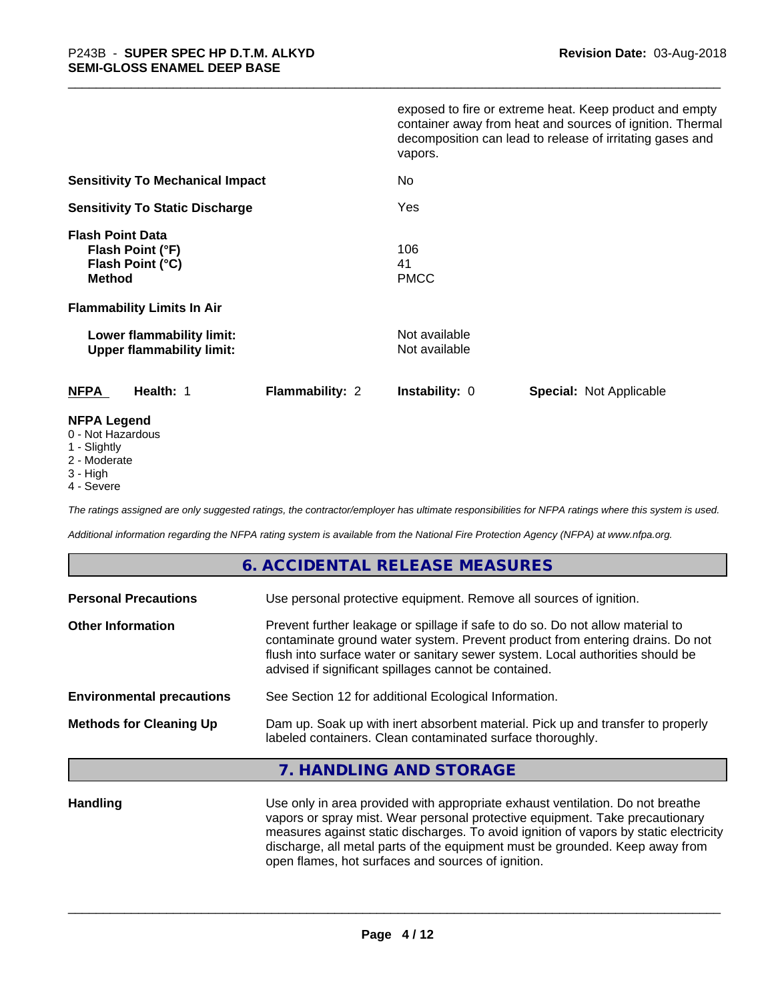|                                                                                  | exposed to fire or extreme heat. Keep product and empty<br>container away from heat and sources of ignition. Thermal<br>decomposition can lead to release of irritating gases and<br>vapors. |
|----------------------------------------------------------------------------------|----------------------------------------------------------------------------------------------------------------------------------------------------------------------------------------------|
| <b>Sensitivity To Mechanical Impact</b>                                          | No                                                                                                                                                                                           |
| <b>Sensitivity To Static Discharge</b>                                           | Yes                                                                                                                                                                                          |
| <b>Flash Point Data</b><br>Flash Point (°F)<br>Flash Point (°C)<br><b>Method</b> | 106<br>41<br><b>PMCC</b>                                                                                                                                                                     |
| <b>Flammability Limits In Air</b>                                                |                                                                                                                                                                                              |
| Lower flammability limit:<br><b>Upper flammability limit:</b>                    | Not available<br>Not available                                                                                                                                                               |
| <b>NFPA</b><br>Health: 1<br><b>Flammability: 2</b>                               | <b>Instability: 0</b><br><b>Special: Not Applicable</b>                                                                                                                                      |
| <b>NFPA Legend</b>                                                               |                                                                                                                                                                                              |

- 0 Not Hazardous
- 1 Slightly
- 2 Moderate
- 3 High
- 4 Severe

*The ratings assigned are only suggested ratings, the contractor/employer has ultimate responsibilities for NFPA ratings where this system is used.*

*Additional information regarding the NFPA rating system is available from the National Fire Protection Agency (NFPA) at www.nfpa.org.*

# **6. ACCIDENTAL RELEASE MEASURES**

| Use personal protective equipment. Remove all sources of ignition.                                                                                                                                                                                                                                         |
|------------------------------------------------------------------------------------------------------------------------------------------------------------------------------------------------------------------------------------------------------------------------------------------------------------|
| Prevent further leakage or spillage if safe to do so. Do not allow material to<br>contaminate ground water system. Prevent product from entering drains. Do not<br>flush into surface water or sanitary sewer system. Local authorities should be<br>advised if significant spillages cannot be contained. |
| See Section 12 for additional Ecological Information.                                                                                                                                                                                                                                                      |
| Dam up. Soak up with inert absorbent material. Pick up and transfer to properly<br>labeled containers. Clean contaminated surface thoroughly.                                                                                                                                                              |
|                                                                                                                                                                                                                                                                                                            |

# **7. HANDLING AND STORAGE**

**Handling** Use only in area provided with appropriate exhaust ventilation. Do not breathe vapors or spray mist. Wear personal protective equipment. Take precautionary measures against static discharges. To avoid ignition of vapors by static electricity discharge, all metal parts of the equipment must be grounded. Keep away from open flames, hot surfaces and sources of ignition.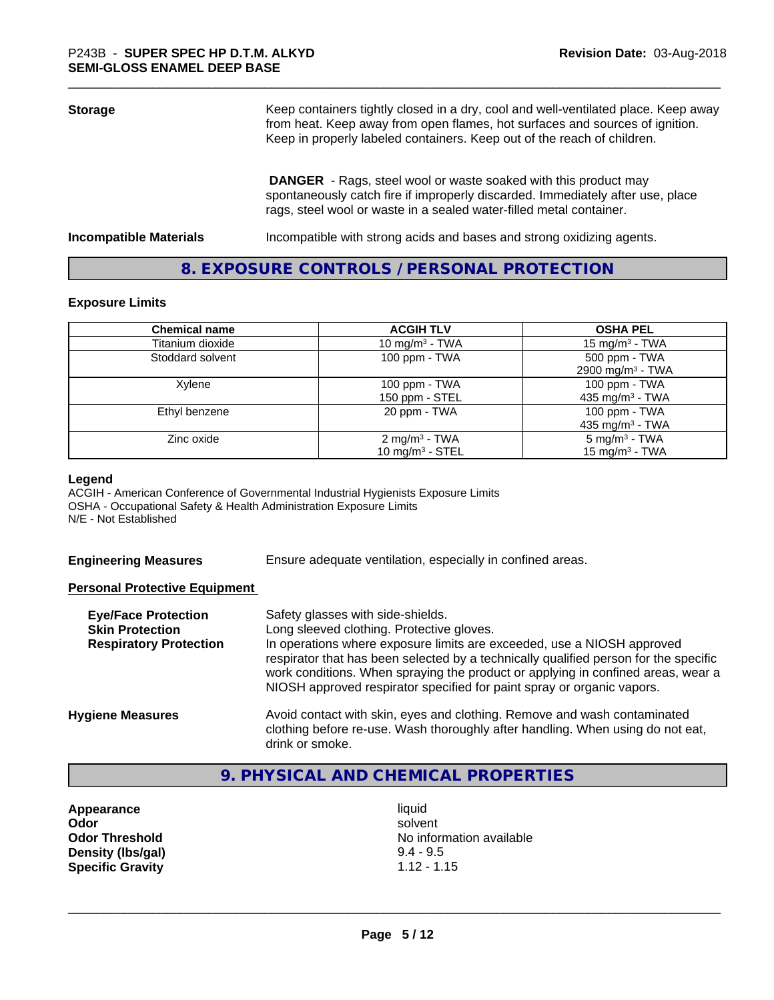| <b>Storage</b>                | Keep containers tightly closed in a dry, cool and well-ventilated place. Keep away<br>from heat. Keep away from open flames, hot surfaces and sources of ignition.<br>Keep in properly labeled containers. Keep out of the reach of children. |  |
|-------------------------------|-----------------------------------------------------------------------------------------------------------------------------------------------------------------------------------------------------------------------------------------------|--|
|                               | <b>DANGER</b> - Rags, steel wool or waste soaked with this product may<br>spontaneously catch fire if improperly discarded. Immediately after use, place<br>rags, steel wool or waste in a sealed water-filled metal container.               |  |
| <b>Incompatible Materials</b> | Incompatible with strong acids and bases and strong oxidizing agents.                                                                                                                                                                         |  |

# **8. EXPOSURE CONTROLS / PERSONAL PROTECTION**

#### **Exposure Limits**

| <b>Chemical name</b> | <b>ACGIH TLV</b>          | <b>OSHA PEL</b>              |
|----------------------|---------------------------|------------------------------|
|                      |                           |                              |
| Titanium dioxide     | 10 mg/m $3$ - TWA         | 15 mg/m $3$ - TWA            |
| Stoddard solvent     | 100 ppm - TWA             | 500 ppm - TWA                |
|                      |                           | 2900 mg/m <sup>3</sup> - TWA |
| Xylene               | 100 ppm - TWA             | $100$ ppm $-$ TWA            |
|                      | 150 ppm - STEL            | 435 mg/m <sup>3</sup> - TWA  |
| Ethyl benzene        | 20 ppm - TWA              | 100 ppm - TWA                |
|                      |                           | 435 mg/m <sup>3</sup> - TWA  |
| Zinc oxide           | 2 mg/m <sup>3</sup> - TWA | $5 \text{ mg/m}^3$ - TWA     |
|                      | 10 mg/m $3 -$ STEL        | 15 mg/m $3$ - TWA            |

# **Legend**

ACGIH - American Conference of Governmental Industrial Hygienists Exposure Limits OSHA - Occupational Safety & Health Administration Exposure Limits N/E - Not Established

**Engineering Measures** Ensure adequate ventilation, especially in confined areas.

# **Personal Protective Equipment**

| <b>Eye/Face Protection</b><br><b>Skin Protection</b><br><b>Respiratory Protection</b> | Safety glasses with side-shields.<br>Long sleeved clothing. Protective gloves.<br>In operations where exposure limits are exceeded, use a NIOSH approved<br>respirator that has been selected by a technically qualified person for the specific<br>work conditions. When spraying the product or applying in confined areas, wear a<br>NIOSH approved respirator specified for paint spray or organic vapors. |
|---------------------------------------------------------------------------------------|----------------------------------------------------------------------------------------------------------------------------------------------------------------------------------------------------------------------------------------------------------------------------------------------------------------------------------------------------------------------------------------------------------------|
| <b>Hygiene Measures</b>                                                               | Avoid contact with skin, eyes and clothing. Remove and wash contaminated<br>clothing before re-use. Wash thoroughly after handling. When using do not eat,<br>drink or smoke.                                                                                                                                                                                                                                  |

# **9. PHYSICAL AND CHEMICAL PROPERTIES**

**Appearance** liquid **Density (lbs/gal) Specific Gravity** 1.12 - 1.15

**Odor** solvent **Odor Threshold**<br> **Density (Ibs/aal)**<br> **Density (Ibs/aal)**<br> **Density (Ibs/aal)**<br> **Density (Ibs/aal)**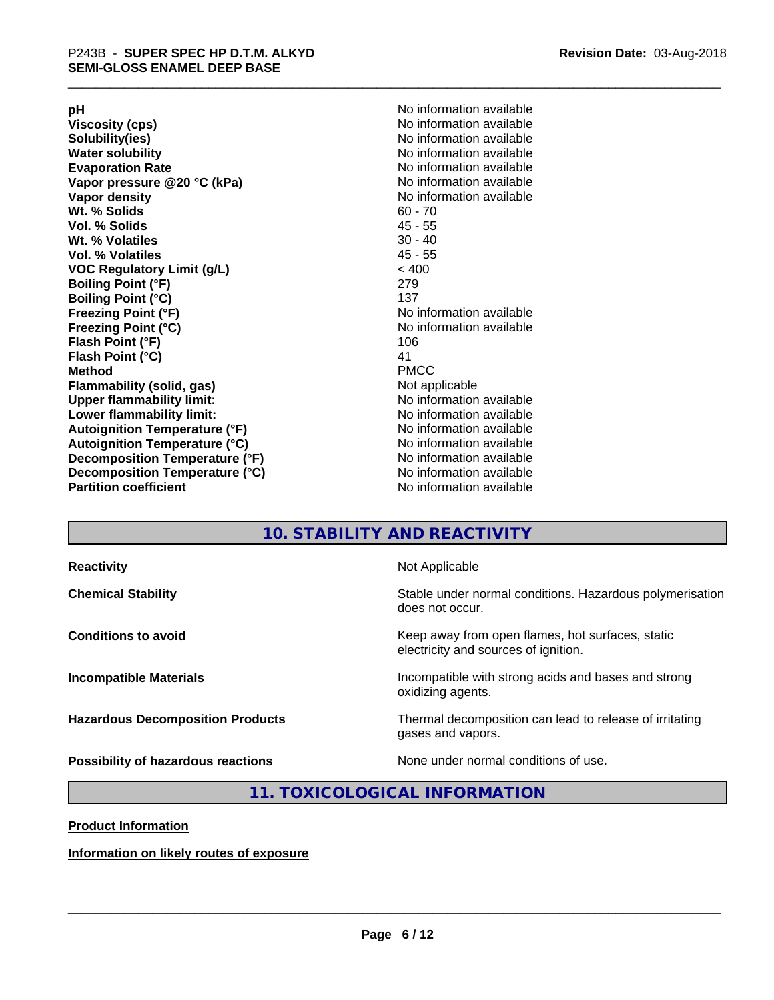**Viscosity (cps)** <br> **Viscosity (cps)** No information available<br>
No information available<br>
No information available **Water solubility**<br> **Evaporation Rate**<br> **Evaporation Rate**<br> **Evaporation Rate Vapor** pressure @20 °C (kPa) **Vapor density No information available Wt. % Solids** 60 - 70<br> **Vol. % Solids** 60 - 70<br> **Vol. % Solids** 65 **Vol. % Solids Wt.** % Volatiles 30 - 40 **Vol. % Volatiles** 45 - 55 **VOC Regulatory Limit (g/L)** < 400 **Boiling Point (°F)** 279 **Boiling Point (°C)**<br>Freezing Point (°F) **Freezing Point (°C)** No information available **Flash Point (°F)** 106 **Flash Point (°C)** 41 **Method** PMCC **Flammability (solid, gas)** Not applicable **Upper flammability limit:** No information available **Lower flammability limit:** No information available **Autoignition Temperature (°F)** No information available **Autoignition Temperature (°C)** No information available **Decomposition Temperature (°F)** No information available **Decomposition Temperature (°C)** No information available<br> **Partition coefficient Partition available** 

**pH**<br>
Viscosity (cps) The Contract of the Contract of No information available<br>
No information available **Solubility(ies)** No information available No information available<br>No information available **No information available No information available** 

# **10. STABILITY AND REACTIVITY**

| <b>Reactivity</b>                         | Not Applicable                                                                           |
|-------------------------------------------|------------------------------------------------------------------------------------------|
| <b>Chemical Stability</b>                 | Stable under normal conditions. Hazardous polymerisation<br>does not occur.              |
| <b>Conditions to avoid</b>                | Keep away from open flames, hot surfaces, static<br>electricity and sources of ignition. |
| <b>Incompatible Materials</b>             | Incompatible with strong acids and bases and strong<br>oxidizing agents.                 |
| <b>Hazardous Decomposition Products</b>   | Thermal decomposition can lead to release of irritating<br>gases and vapors.             |
| <b>Possibility of hazardous reactions</b> | None under normal conditions of use.                                                     |

# **11. TOXICOLOGICAL INFORMATION**

# **Product Information**

**Information on likely routes of exposure**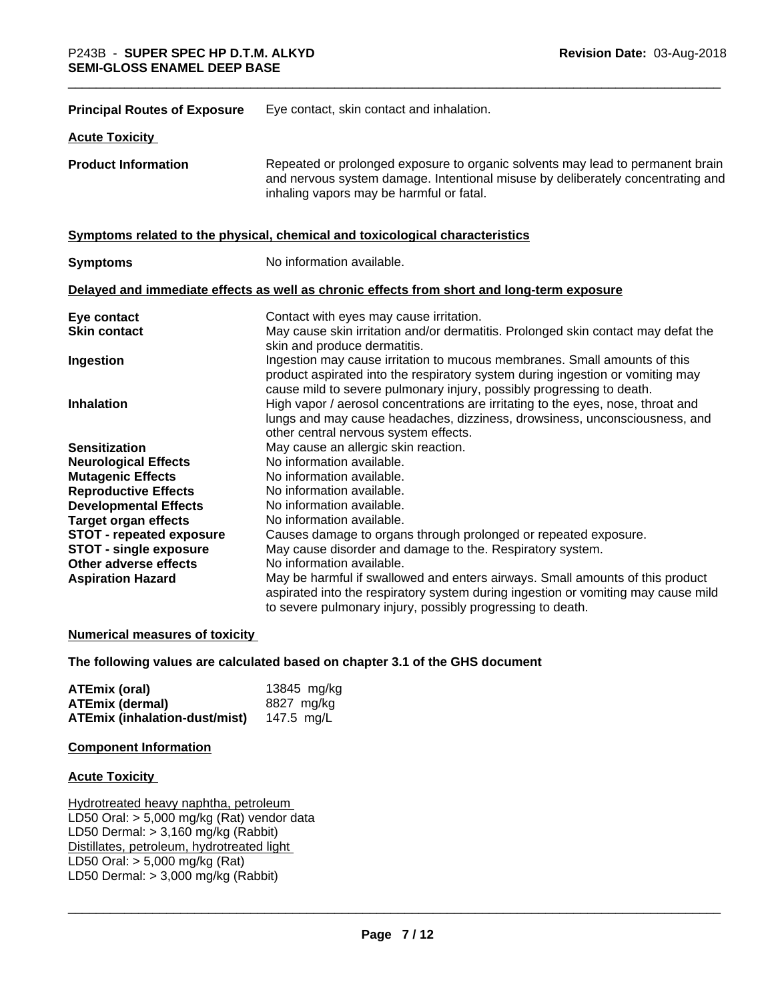| <b>Principal Routes of Exposure</b> | Eye contact, skin contact and inhalation.                                                                                                                                                                                            |
|-------------------------------------|--------------------------------------------------------------------------------------------------------------------------------------------------------------------------------------------------------------------------------------|
| <b>Acute Toxicity</b>               |                                                                                                                                                                                                                                      |
| <b>Product Information</b>          | Repeated or prolonged exposure to organic solvents may lead to permanent brain<br>and nervous system damage. Intentional misuse by deliberately concentrating and<br>inhaling vapors may be harmful or fatal.                        |
|                                     | Symptoms related to the physical, chemical and toxicological characteristics                                                                                                                                                         |
| <b>Symptoms</b>                     | No information available.                                                                                                                                                                                                            |
|                                     | Delayed and immediate effects as well as chronic effects from short and long-term exposure                                                                                                                                           |
| Eye contact                         | Contact with eyes may cause irritation.                                                                                                                                                                                              |
| <b>Skin contact</b>                 | May cause skin irritation and/or dermatitis. Prolonged skin contact may defat the<br>skin and produce dermatitis.                                                                                                                    |
| Ingestion                           | Ingestion may cause irritation to mucous membranes. Small amounts of this<br>product aspirated into the respiratory system during ingestion or vomiting may<br>cause mild to severe pulmonary injury, possibly progressing to death. |
| <b>Inhalation</b>                   | High vapor / aerosol concentrations are irritating to the eyes, nose, throat and<br>lungs and may cause headaches, dizziness, drowsiness, unconsciousness, and<br>other central nervous system effects.                              |
| <b>Sensitization</b>                | May cause an allergic skin reaction.                                                                                                                                                                                                 |
| <b>Neurological Effects</b>         | No information available.                                                                                                                                                                                                            |
| <b>Mutagenic Effects</b>            | No information available.                                                                                                                                                                                                            |
| <b>Reproductive Effects</b>         | No information available.                                                                                                                                                                                                            |
| <b>Developmental Effects</b>        | No information available.                                                                                                                                                                                                            |
| <b>Target organ effects</b>         | No information available.                                                                                                                                                                                                            |
| <b>STOT - repeated exposure</b>     | Causes damage to organs through prolonged or repeated exposure.                                                                                                                                                                      |
| STOT - single exposure              | May cause disorder and damage to the. Respiratory system.                                                                                                                                                                            |
| Other adverse effects               | No information available.                                                                                                                                                                                                            |
| <b>Aspiration Hazard</b>            | May be harmful if swallowed and enters airways. Small amounts of this product<br>aspirated into the respiratory system during ingestion or vomiting may cause mild<br>to severe pulmonary injury, possibly progressing to death.     |

# **Numerical measures of toxicity**

# **The following values are calculated based on chapter 3.1 of the GHS document**

| ATEmix (oral)                 | 13845 mg/kg |
|-------------------------------|-------------|
| <b>ATEmix (dermal)</b>        | 8827 mg/ka  |
| ATEmix (inhalation-dust/mist) | 147.5 ma/L  |

#### **Component Information**

# **Acute Toxicity**

Hydrotreated heavy naphtha, petroleum LD50 Oral: > 5,000 mg/kg (Rat) vendor data LD50 Dermal: > 3,160 mg/kg (Rabbit) Distillates, petroleum, hydrotreated light LD50 Oral: > 5,000 mg/kg (Rat) LD50 Dermal:  $> 3,000$  mg/kg (Rabbit)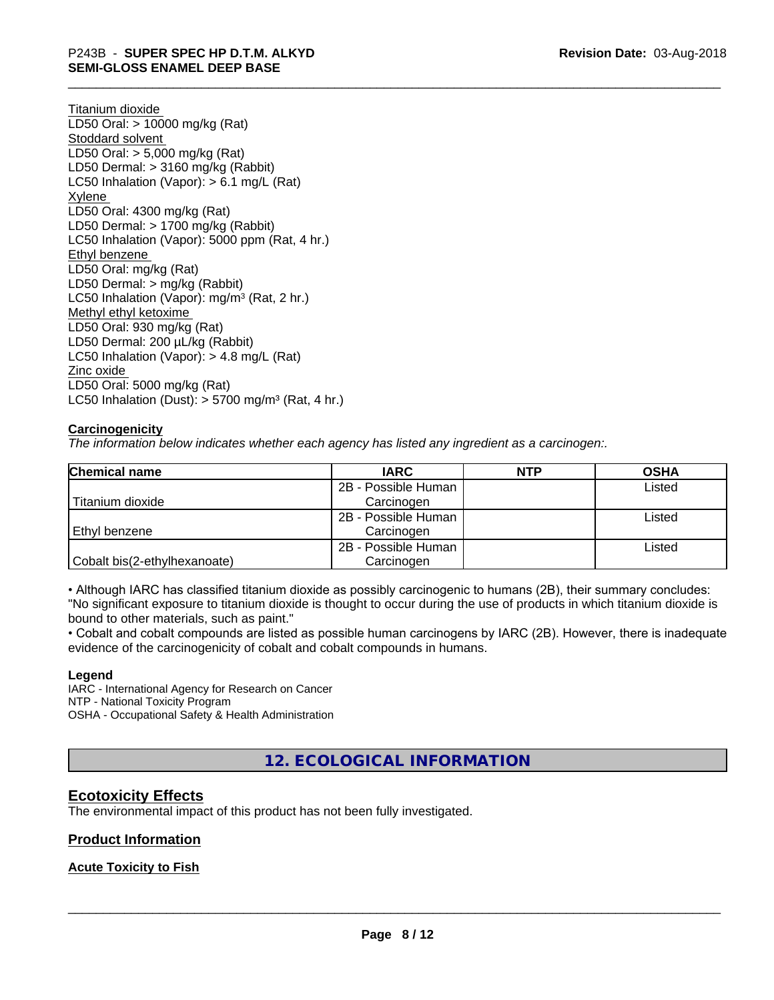Titanium dioxide LD50 Oral: > 10000 mg/kg (Rat) Stoddard solvent LD50 Oral: > 5,000 mg/kg (Rat) LD50 Dermal: > 3160 mg/kg (Rabbit) LC50 Inhalation (Vapor): > 6.1 mg/L (Rat) Xylene LD50 Oral: 4300 mg/kg (Rat) LD50 Dermal: > 1700 mg/kg (Rabbit) LC50 Inhalation (Vapor): 5000 ppm (Rat, 4 hr.) Ethyl benzene LD50 Oral: mg/kg (Rat) LD50 Dermal: > mg/kg (Rabbit) LC50 Inhalation (Vapor): mg/m<sup>3</sup> (Rat, 2 hr.) Methyl ethyl ketoxime LD50 Oral: 930 mg/kg (Rat) LD50 Dermal: 200 µL/kg (Rabbit) LC50 Inhalation (Vapor): > 4.8 mg/L (Rat) Zinc oxide LD50 Oral: 5000 mg/kg (Rat) LC50 Inhalation (Dust):  $> 5700$  mg/m<sup>3</sup> (Rat, 4 hr.)

# **Carcinogenicity**

*The information below indicateswhether each agency has listed any ingredient as a carcinogen:.*

| Chemical name                | <b>IARC</b>         | <b>NTP</b> | <b>OSHA</b> |
|------------------------------|---------------------|------------|-------------|
|                              | 2B - Possible Human |            | Listed      |
| Titanium dioxide             | Carcinogen          |            |             |
|                              | 2B - Possible Human |            | Listed      |
| Ethyl benzene                | Carcinogen          |            |             |
|                              | 2B - Possible Human |            | Listed      |
| Cobalt bis(2-ethylhexanoate) | Carcinogen          |            |             |

• Although IARC has classified titanium dioxide as possibly carcinogenic to humans (2B), their summary concludes: "No significant exposure to titanium dioxide is thought to occur during the use of products in which titanium dioxide is bound to other materials, such as paint."

• Cobalt and cobalt compounds are listed as possible human carcinogens by IARC (2B). However, there is inadequate evidence of the carcinogenicity of cobalt and cobalt compounds in humans.

# **Legend**

IARC - International Agency for Research on Cancer NTP - National Toxicity Program OSHA - Occupational Safety & Health Administration

**12. ECOLOGICAL INFORMATION**

# **Ecotoxicity Effects**

The environmental impact of this product has not been fully investigated.

# **Product Information**

**Acute Toxicity to Fish**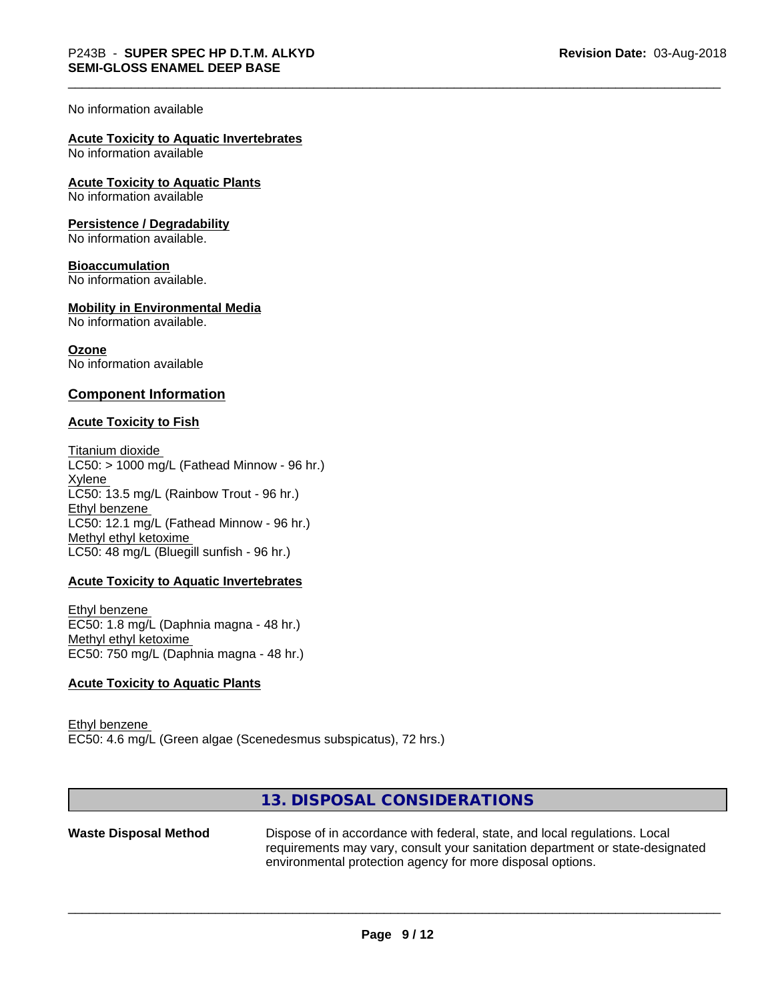#### No information available

# **Acute Toxicity to Aquatic Invertebrates**

No information available

**Acute Toxicity to Aquatic Plants**

No information available

#### **Persistence / Degradability**

No information available.

#### **Bioaccumulation**

No information available.

# **Mobility in Environmental Media**

No information available.

**Ozone** No information available

# **Component Information**

#### **Acute Toxicity to Fish**

Titanium dioxide  $LC50:$  > 1000 mg/L (Fathead Minnow - 96 hr.) Xylene LC50: 13.5 mg/L (Rainbow Trout - 96 hr.) Ethyl benzene LC50: 12.1 mg/L (Fathead Minnow - 96 hr.) Methyl ethyl ketoxime LC50: 48 mg/L (Bluegill sunfish - 96 hr.)

# **Acute Toxicity to Aquatic Invertebrates**

Ethyl benzene EC50: 1.8 mg/L (Daphnia magna - 48 hr.) Methyl ethyl ketoxime EC50: 750 mg/L (Daphnia magna - 48 hr.)

# **Acute Toxicity to Aquatic Plants**

Ethyl benzene EC50: 4.6 mg/L (Green algae (Scenedesmus subspicatus), 72 hrs.)

# **13. DISPOSAL CONSIDERATIONS**

Waste Disposal Method Dispose of in accordance with federal, state, and local regulations. Local requirements may vary, consult your sanitation department or state-designated environmental protection agency for more disposal options.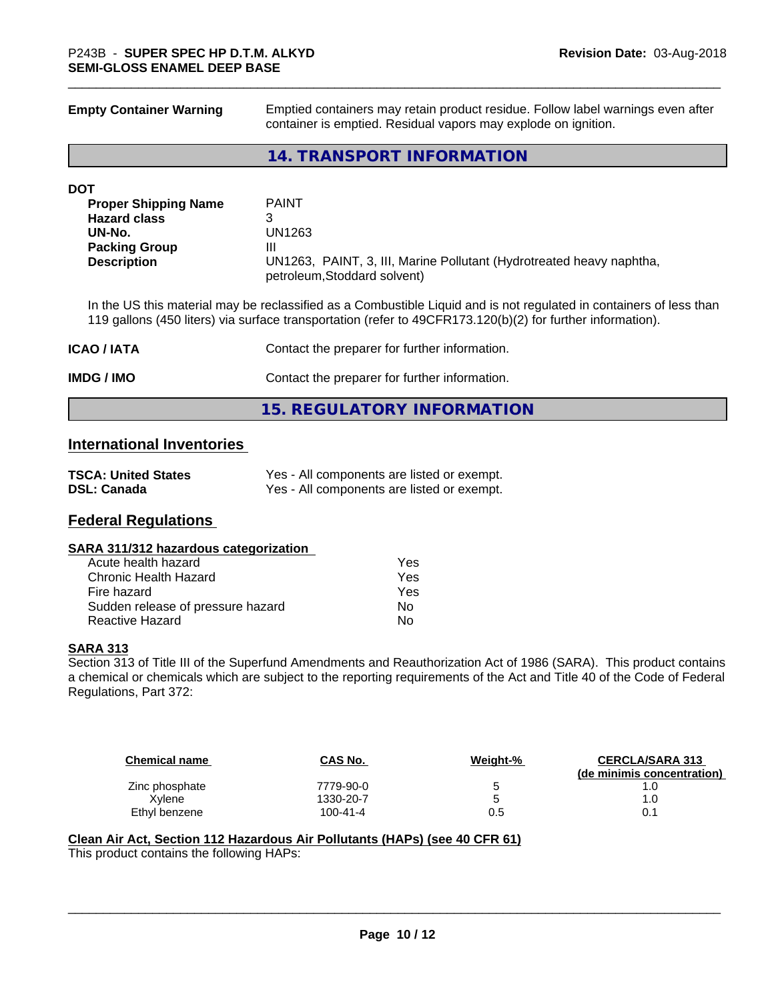**Empty Container Warning** Emptied containers may retain product residue. Follow label warnings even after container is emptied. Residual vapors may explode on ignition.

# **14. TRANSPORT INFORMATION**

#### **DOT**

| <b>Proper Shipping Name</b> | <b>PAINT</b>                                                                                         |
|-----------------------------|------------------------------------------------------------------------------------------------------|
| <b>Hazard class</b>         |                                                                                                      |
| UN-No.                      | UN1263                                                                                               |
| <b>Packing Group</b>        | Ш                                                                                                    |
| <b>Description</b>          | UN1263, PAINT, 3, III, Marine Pollutant (Hydrotreated heavy naphtha,<br>petroleum, Stoddard solvent) |

In the US this material may be reclassified as a Combustible Liquid and is not regulated in containers of less than 119 gallons (450 liters) via surface transportation (refer to 49CFR173.120(b)(2) for further information).

| <b>ICAO/IATA</b> | Contact the preparer for further information. |
|------------------|-----------------------------------------------|
| IMDG / IMO       | Contact the preparer for further information. |
|                  | 15. REGULATORY INFORMATION                    |

# **International Inventories**

| <b>TSCA: United States</b> | Yes - All components are listed or exempt. |
|----------------------------|--------------------------------------------|
| <b>DSL: Canada</b>         | Yes - All components are listed or exempt. |

# **Federal Regulations**

### **SARA 311/312 hazardous categorization**

| Acute health hazard               | Yes |
|-----------------------------------|-----|
| Chronic Health Hazard             | Yes |
| Fire hazard                       | Yes |
| Sudden release of pressure hazard | N٥  |
| Reactive Hazard                   | N٥  |

# **SARA 313**

Section 313 of Title III of the Superfund Amendments and Reauthorization Act of 1986 (SARA). This product contains a chemical or chemicals which are subject to the reporting requirements of the Act and Title 40 of the Code of Federal Regulations, Part 372:

| <b>Chemical name</b> | <b>CAS No.</b> | Weight-% | <b>CERCLA/SARA 313</b><br>(de minimis concentration) |
|----------------------|----------------|----------|------------------------------------------------------|
| Zinc phosphate       | 7779-90-0      |          |                                                      |
| Xvlene               | 1330-20-7      |          | 1.0                                                  |
| Ethyl benzene        | $100 - 41 - 4$ | $0.5\,$  | 0.1                                                  |

 $\overline{\phantom{a}}$  ,  $\overline{\phantom{a}}$  ,  $\overline{\phantom{a}}$  ,  $\overline{\phantom{a}}$  ,  $\overline{\phantom{a}}$  ,  $\overline{\phantom{a}}$  ,  $\overline{\phantom{a}}$  ,  $\overline{\phantom{a}}$  ,  $\overline{\phantom{a}}$  ,  $\overline{\phantom{a}}$  ,  $\overline{\phantom{a}}$  ,  $\overline{\phantom{a}}$  ,  $\overline{\phantom{a}}$  ,  $\overline{\phantom{a}}$  ,  $\overline{\phantom{a}}$  ,  $\overline{\phantom{a}}$ 

# **Clean Air Act,Section 112 Hazardous Air Pollutants (HAPs) (see 40 CFR 61)**

This product contains the following HAPs: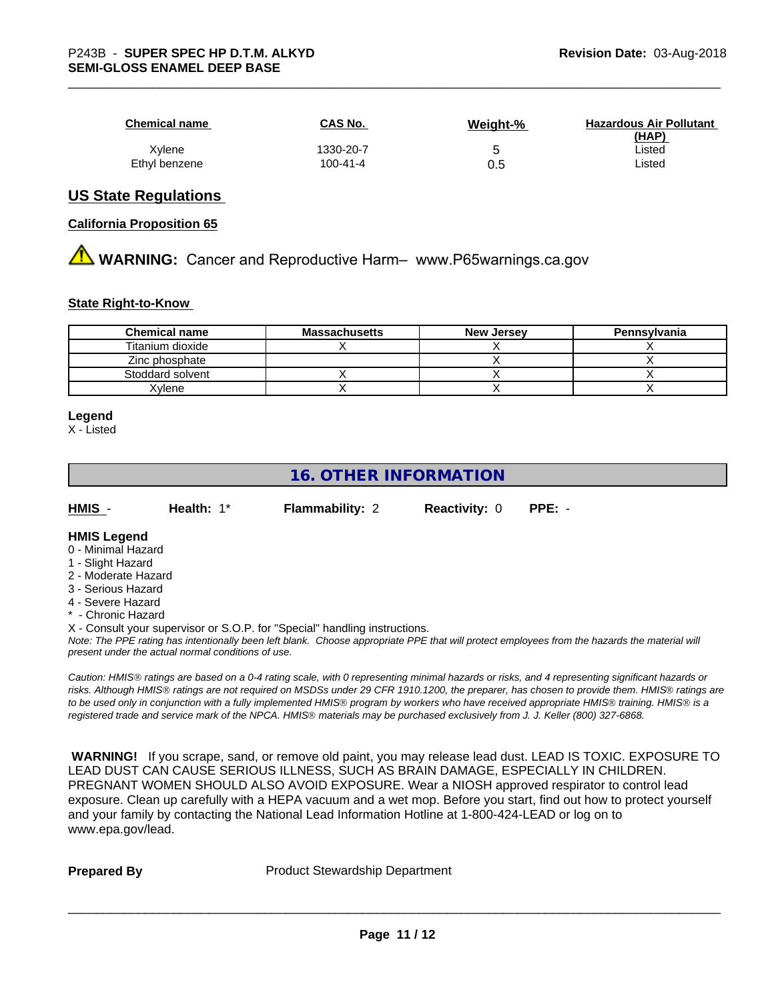| <b>Chemical name</b> | <b>CAS No.</b> | Weight-% | <b>Hazardous Air Pollutant</b><br>(HAP) |
|----------------------|----------------|----------|-----------------------------------------|
| Xylene               | 1330-20-7      | v        | ∟isted                                  |
| Ethyl benzene        | 100-41-4       | 0.5      | ∟isted                                  |

# **US State Regulations**

#### **California Proposition 65**

**AN** WARNING: Cancer and Reproductive Harm– www.P65warnings.ca.gov

#### **State Right-to-Know**

| <b>Chemical name</b> | <b>Massachusetts</b> | <b>New Jersey</b> | Pennsylvania |
|----------------------|----------------------|-------------------|--------------|
| Titanium dioxide     |                      |                   |              |
| Zinc phosphate       |                      |                   |              |
| Stoddard solvent     |                      |                   |              |
| (vlene               |                      |                   |              |

#### **Legend**

X - Listed

# **16. OTHER INFORMATION** *Note: The PPE rating has intentionally been left blank. Choose appropriate PPE that will protect employees from the hazards the material will present under the actual normal conditions of use. Caution: HMISÒ ratings are based on a 0-4 rating scale, with 0 representing minimal hazards or risks, and 4 representing significant hazards or risks. Although HMISÒ ratings are not required on MSDSs under 29 CFR 1910.1200, the preparer, has chosen to provide them. HMISÒ ratings are to be used only in conjunction with a fully implemented HMISÒ program by workers who have received appropriate HMISÒ training. HMISÒ is a* **HMIS** - **Health:** 1\* **Flammability:** 2 **Reactivity:** 0 **PPE:** - **HMIS Legend** 0 - Minimal Hazard 1 - Slight Hazard 2 - Moderate Hazard 3 - Serious Hazard 4 - Severe Hazard \* - Chronic Hazard X - Consult your supervisor or S.O.P. for "Special" handling instructions.

 **WARNING!** If you scrape, sand, or remove old paint, you may release lead dust. LEAD IS TOXIC. EXPOSURE TO LEAD DUST CAN CAUSE SERIOUS ILLNESS, SUCH AS BRAIN DAMAGE, ESPECIALLY IN CHILDREN. PREGNANT WOMEN SHOULD ALSO AVOID EXPOSURE. Wear a NIOSH approved respirator to control lead exposure. Clean up carefully with a HEPA vacuum and a wet mop. Before you start, find out how to protect yourself and your family by contacting the National Lead Information Hotline at 1-800-424-LEAD or log on to www.epa.gov/lead.

**Prepared By** Product Stewardship Department

*registered trade and service mark of the NPCA. HMISÒ materials may be purchased exclusively from J. J. Keller (800) 327-6868.*